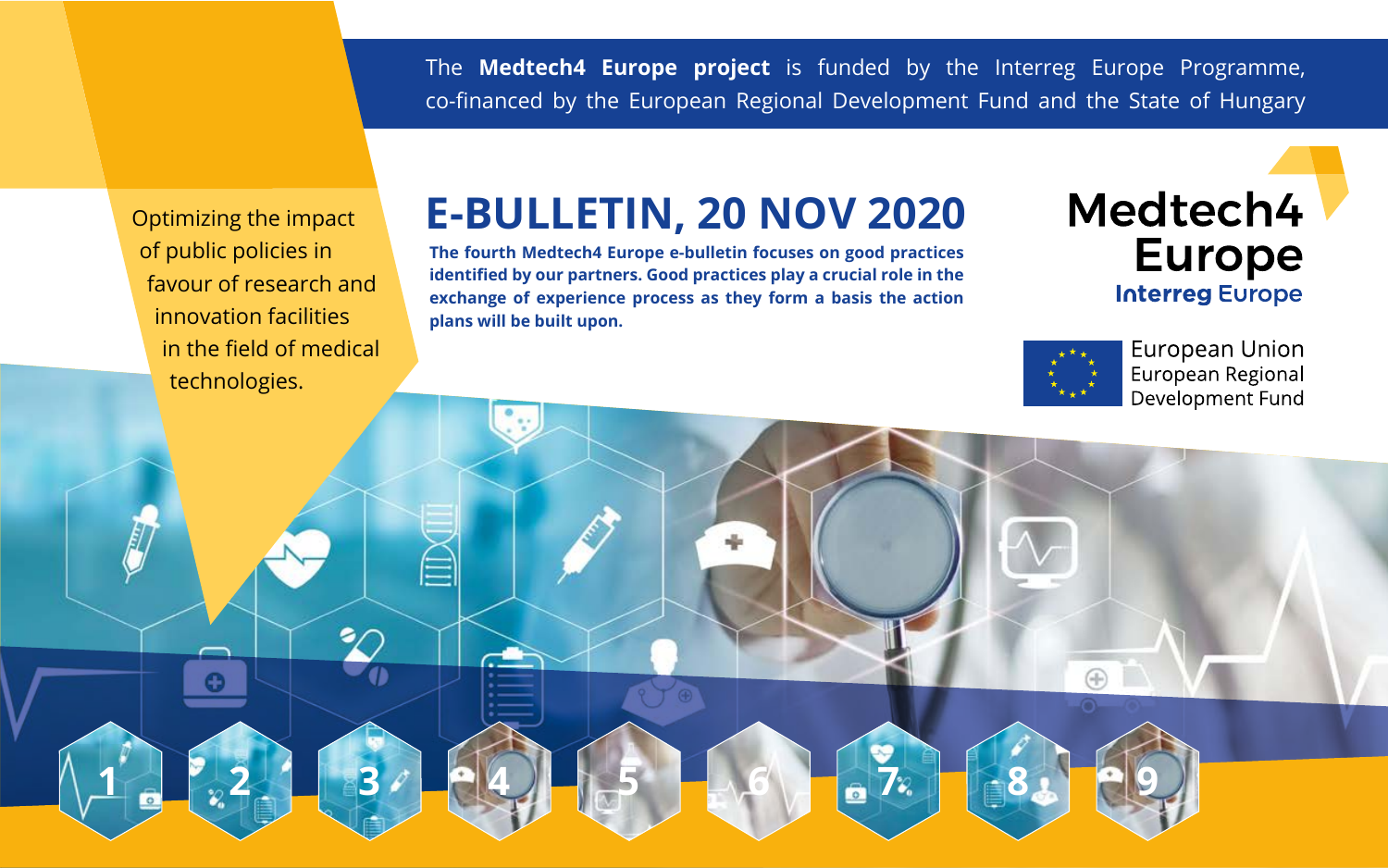The **Medtech4 Europe project** is funded by the Interreg Europe Programme, co-financed by the European Regional Development Fund and the State of Hungary

**The fourth Medtech4 Europe e-bulletin focuses on good practices identified by our partners. Good practices play a crucial role in the exchange of experience process as they form a basis the action plans will be built upon.**

# Medtech4 **Europe Interreg Europe**



**European Union** European Regional Development Fund

Optimizing the impact of public policies in favour of research and innovation facilities in the field of medical technologies.

# **E-BULLETIN, 20 NOV 2020**

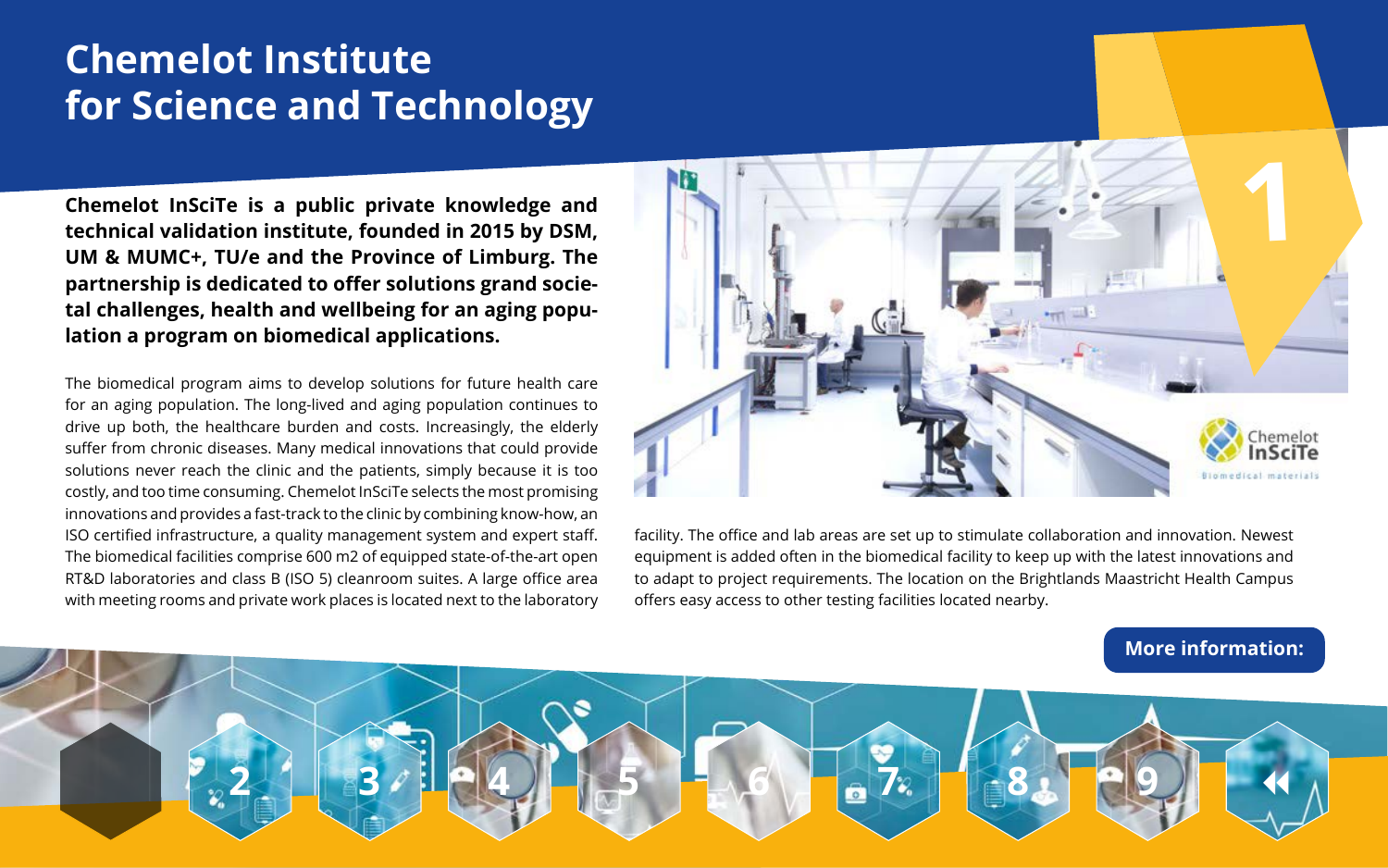# **Chemelot Institute for Science and Technology**

**Chemelot InSciTe is a public private knowledge and technical validation institute, founded in 2015 by DSM, UM & MUMC+, TU/e and the Province of Limburg. The partnership is dedicated to offer solutions grand societal challenges, health and wellbeing for an aging population a program on biomedical applications.** 



facility. The office and lab areas are set up to stimulate collaboration and innovation. Newest equipment is added often in the biomedical facility to keep up with the latest innovations and to adapt to project requirements. The location on the Brightlands Maastricht Health Campus offers easy access to other testing facilities located nearby.

The biomedical program aims to develop solutions for future health care for an aging population. The long-lived and aging population continues to drive up both, the healthcare burden and costs. Increasingly, the elderly suffer from chronic diseases. Many medical innovations that could provide solutions never reach the clinic and the patients, simply because it is too costly, and too time consuming. Chemelot InSciTe selects the most promising innovations and provides a fast-track to the clinic by combining know-how, an ISO certified infrastructure, a quality management system and expert staff. The biomedical facilities comprise 600 m2 of equipped state-of-the-art open RT&D laboratories and class B (ISO 5) cleanroom suites. A large office area with meeting rooms and private work places is located next to the laboratory

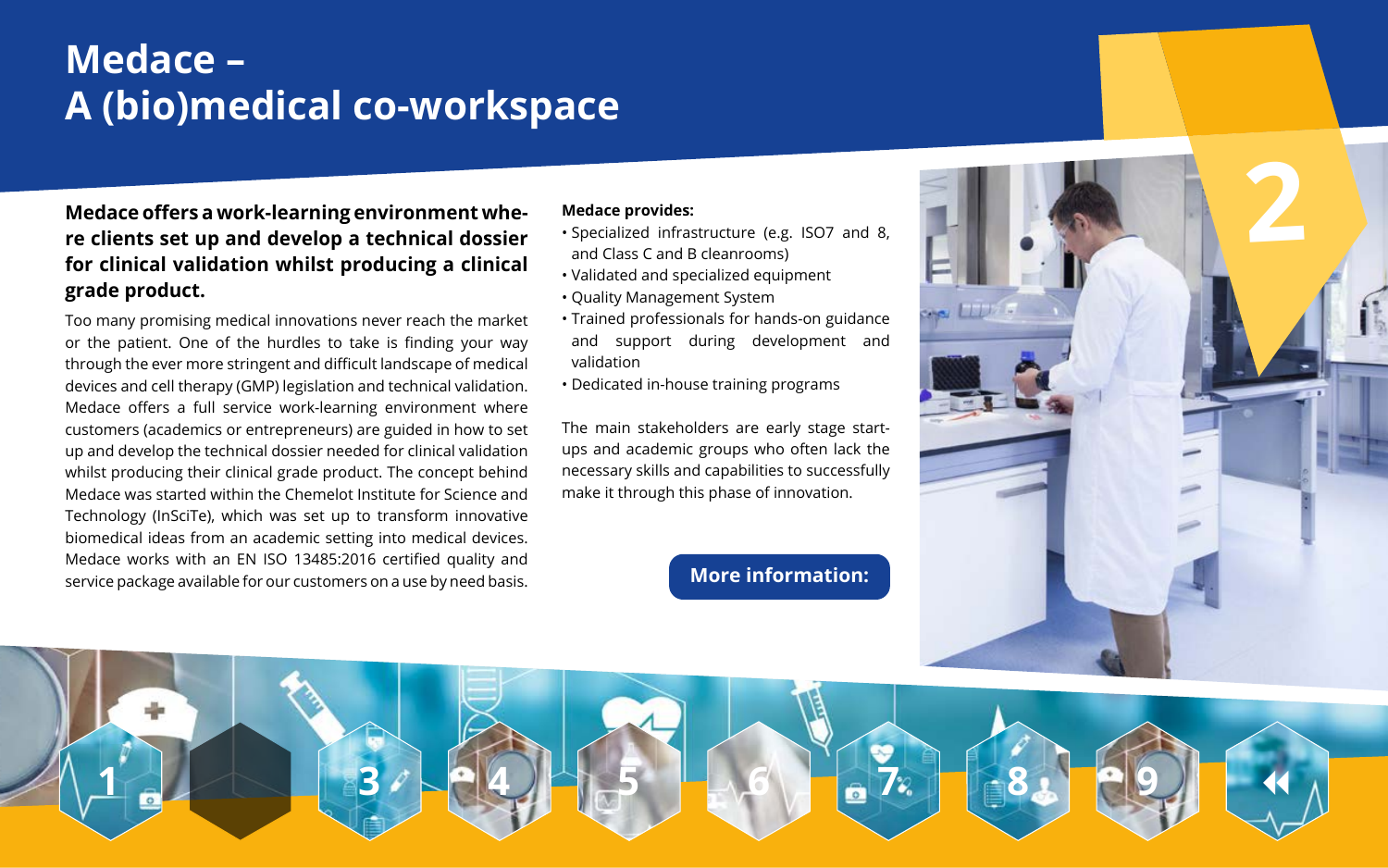# **Medace – A (bio)medical co-workspace**

### **Medace offers a work-learning environment whe re clients set up and develop a technical dossier**  Medace offers a work-learning environment whe-<br>re clients set up and develop a technical dossier<br>for clinical validation whilst producing a clinical **grade product.**



Too many promising medical innovations never reach the market or the patient. One of the hurdles to take is finding your way through the ever more stringent and difficult landscape of medical devices and cell therapy (GMP) legislation and technical validation. Medace offers a full service work-learning environment where customers (academics or entrepreneurs) are guided in how to set up and develop the technical dossier needed for clinical validation whilst producing their clinical grade product. The concept behind Medace was started within the Chemelot Institute for Science and Technology (InSciTe), which was set up to transform innovative biomedical ideas from an academic setting into medical devices. Medace works with an EN ISO 13485:2016 certified quality and service package available for our customers on a use by need basis.

#### **Medace provides:**

- Specialized infrastructure (e.g. ISO7 and 8, and Class C and B cleanrooms)
- Validated and specialized equipment
- Quality Management System
- Trained professionals for hands-on guidance and support during development and validation
- Dedicated in-house training programs

The main stakeholders are early stage startups and academic groups who often lack the necessary skills and capabilities to successfully make it through this phase of innovation.

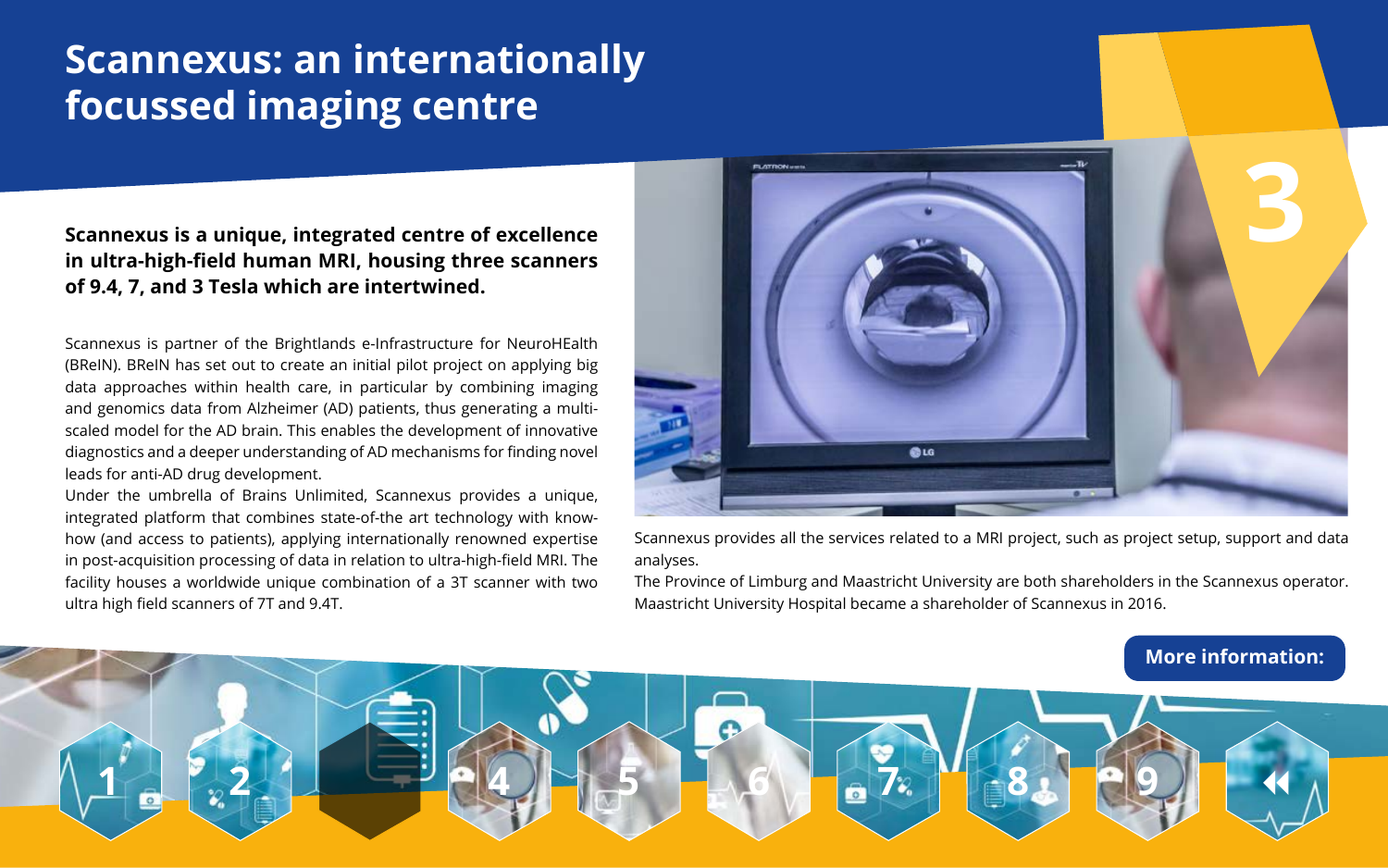# **Scannexus: an internationally focussed imaging centre**

### **Scannexus is a unique, integrated centre of excellence in ultra-high-field human MRI, housing three scanners of 9.4, 7, and 3 Tesla which are intertwined.**



Scannexus provides all the services related to a MRI project, such as project setup, support and data analyses.

The Province of Limburg and Maastricht University are both shareholders in the Scannexus operator. Maastricht University Hospital became a shareholder of Scannexus in 2016.

Scannexus is partner of the Brightlands e-Infrastructure for NeuroHEalth (BReIN). BReIN has set out to create an initial pilot project on applying big data approaches within health care, in particular by combining imaging and genomics data from Alzheimer (AD) patients, thus generating a multiscaled model for the AD brain. This enables the development of innovative diagnostics and a deeper understanding of AD mechanisms for finding novel leads for anti-AD drug development.

Under the umbrella of Brains Unlimited, Scannexus provides a unique, integrated platform that combines state-of-the art technology with knowhow (and access to patients), applying internationally renowned expertise in post-acquisition processing of data in relation to ultra-high-field MRI. The facility houses a worldwide unique combination of a 3T scanner with two ultra high field scanners of 7T and 9.4T.

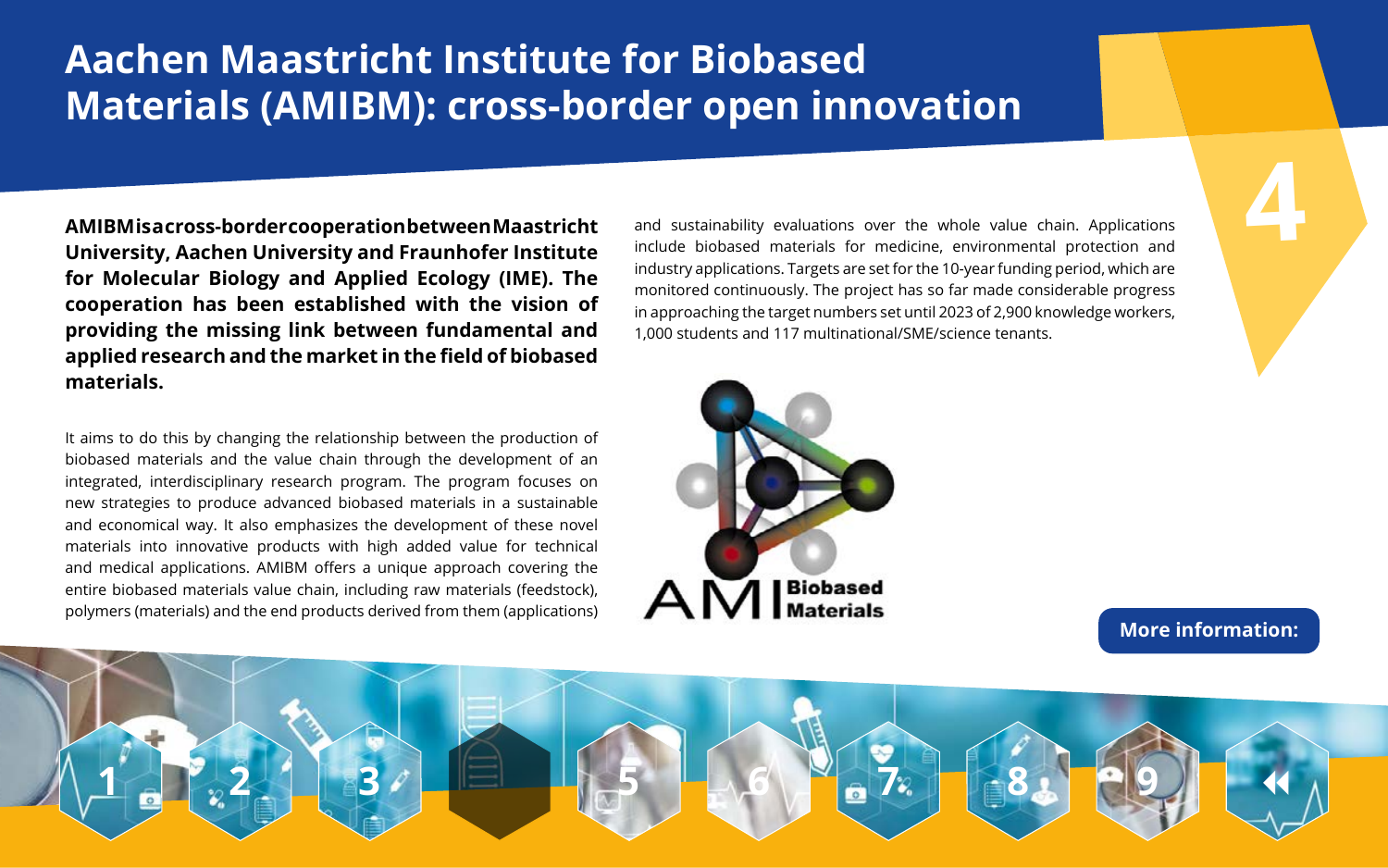# **Aachen Maastricht Institute for Biobased Materials (AMIBM): cross-border open innovation**

**4**

**AMIBM is a cross-border cooperation between Maastricht University, Aachen University and Fraunhofer Institute for Molecular Biology and Applied Ecology (IME). The cooperation has been established with the vision of providing the missing link between fundamental and applied research and the market in the field of biobased materials.** 

and sustainability evaluations over the whole value chain. Applications include biobased materials for medicine, environmental protection and industry applications. Targets are set for the 10-year funding period, which are monitored continuously. The project has so far made considerable progress in approaching the target numbers set until 2023 of 2,900 knowledge workers, 1,000 students and 117 multinational/SME/science tenants.



It aims to do this by changing the relationship between the production of biobased materials and the value chain through the development of an integrated, interdisciplinary research program. The program focuses on new strategies to produce advanced biobased materials in a sustainable and economical way. It also emphasizes the development of these novel materials into innovative products with high added value for technical and medical applications. AMIBM offers a unique approach covering the entire biobased materials value chain, including raw materials (feedstock), polymers (materials) and the end products derived from them (applications)

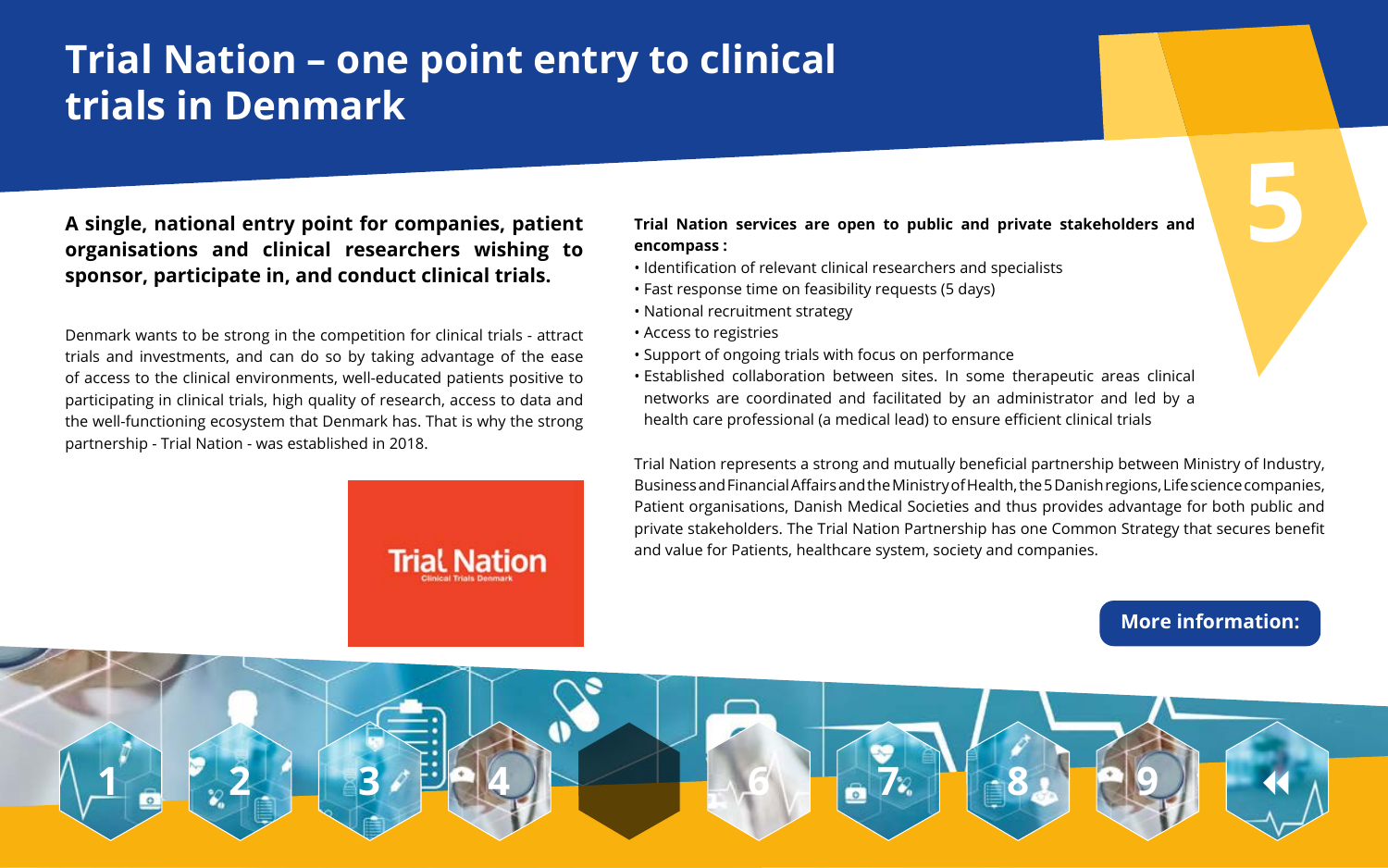# **Trial Nation – one point entry to clinical trials in Denmark**

**Trial Nation** 

# **A single, national entry point for companies, patient organisations and clinical researchers wishing to**<br> **organisations and clinical researchers wishing to 1998** encompass:<br> **organisations and clinical researchers wishing to 1998** encompass: **sponsor, participate in, and conduct clinical trials.**

#### **Trial Nation services are open to public and private stakeholders and**

**encompass :**

• Identification of relevant clinical researchers and specialists • Fast response time on feasibility requests (5 days)

• National recruitment strategy

• Access to registries

• Support of ongoing trials with focus on performance • Established collaboration between sites. In some therapeutic areas clinical networks are coordinated and facilitated by an administrator and led by a health care professional (a medical lead) to ensure efficient clinical trials

Denmark wants to be strong in the competition for clinical trials - attract trials and investments, and can do so by taking advantage of the ease of access to the clinical environments, well-educated patients positive to participating in clinical trials, high quality of research, access to data and the well-functioning ecosystem that Denmark has. That is why the strong partnership - Trial Nation - was established in 2018.

Trial Nation represents a strong and mutually beneficial partnership between Ministry of Industry, Business and Financial Affairs and the Ministry of Health, the 5 Danish regions, Life science companies, Patient organisations, Danish Medical Societies and thus provides advantage for both public and private stakeholders. The Trial Nation Partnership has one Common Strategy that secures benefit and value for Patients, healthcare system, society and companies.

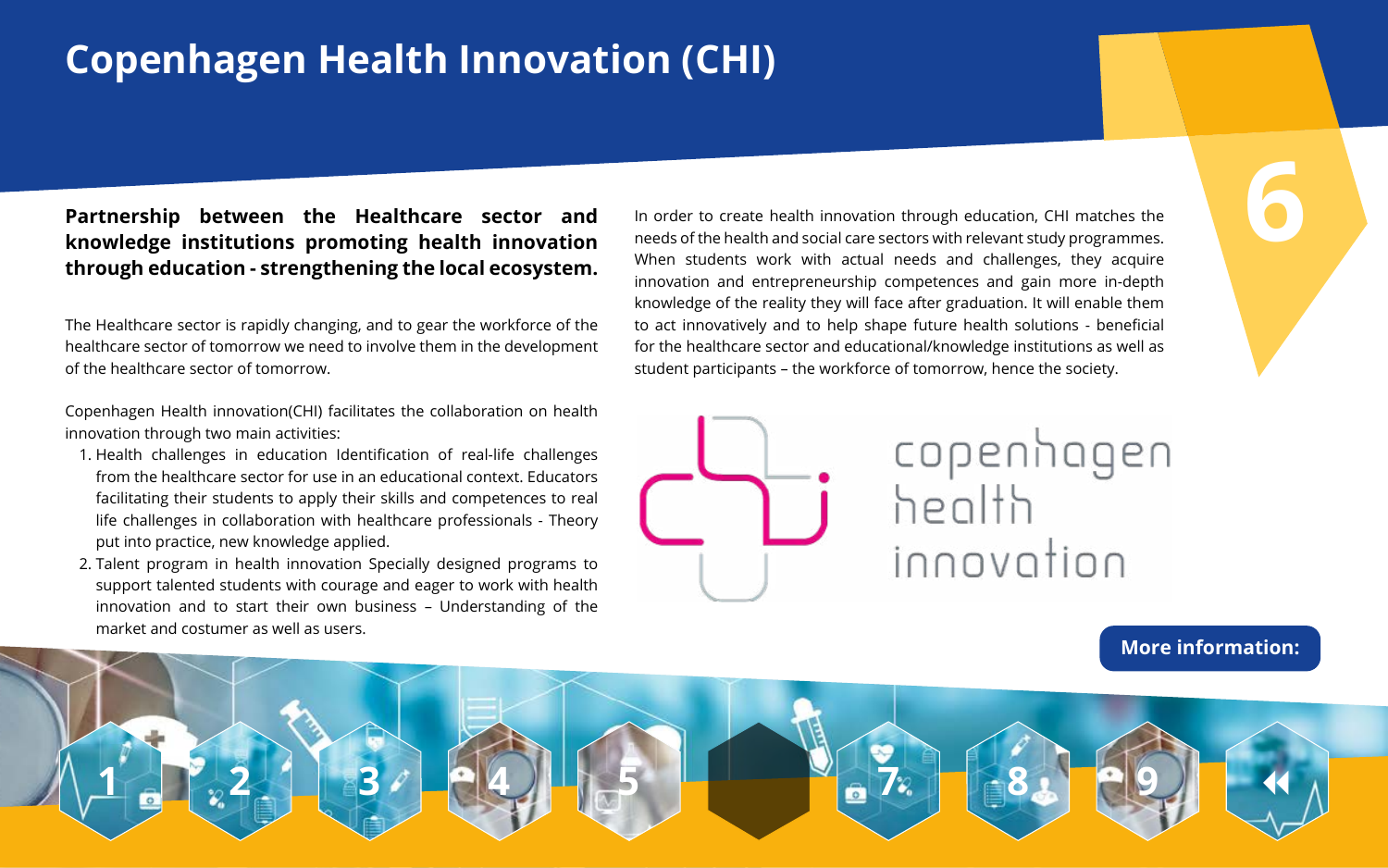# **Copenhagen Health Innovation (CHI)**

# **Partnership between the Healthcare sector and Partnership between the Healthcare sector and** In order to create health innovation through education, CHI matches the<br>**knowledge institutions promoting health innovation** and the health and social care sectors with relev **through education - strengthening the local ecosystem.**

In order to create health innovation through education, CHI matches the needs of the health and social care sectors with relevant study programmes. When students work with actual needs and challenges, they acquire innovation and entrepreneurship competences and gain more in-depth knowledge of the reality they will face after graduation. It will enable them to act innovatively and to help shape future health solutions - beneficial for the healthcare sector and educational/knowledge institutions as well as student participants – the workforce of tomorrow, hence the society.



The Healthcare sector is rapidly changing, and to gear the workforce of the healthcare sector of tomorrow we need to involve them in the development of the healthcare sector of tomorrow.

Copenhagen Health innovation(CHI) facilitates the collaboration on health innovation through two main activities:

- 1. Health challenges in education Identification of real-life challenges from the healthcare sector for use in an educational context. Educators facilitating their students to apply their skills and competences to real life challenges in collaboration with healthcare professionals - Theory put into practice, new knowledge applied.
- 2. Talent program in health innovation Specially designed programs to support talented students with courage and eager to work with health innovation and to start their own business – Understanding of the market and costumer as well as users.

### **[More information:](https://www.interregeurope.eu/policylearning/good-practices/item/4276/copenhagen-health-innovation-chi/)**



# copenhagen innovation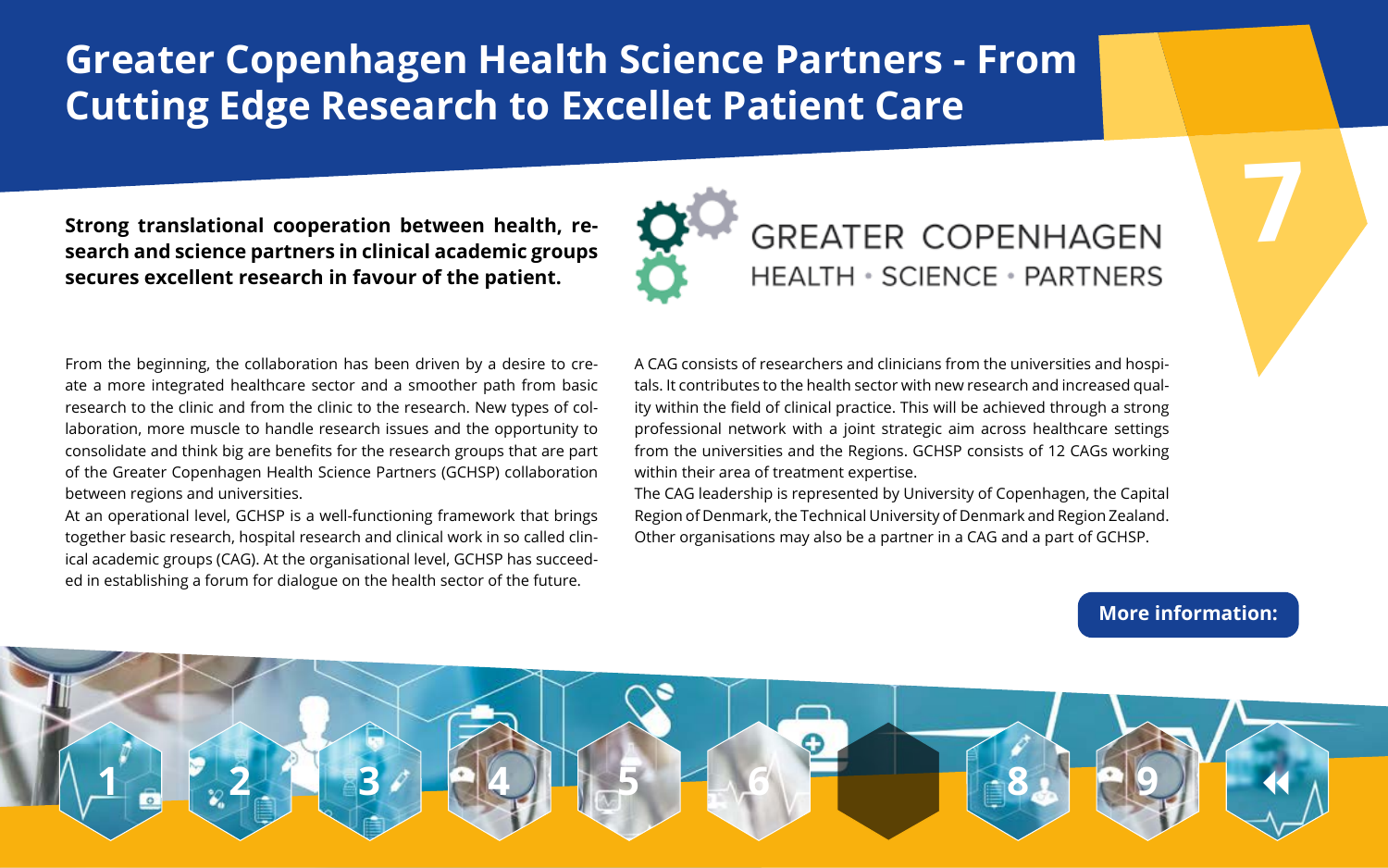# **Greater Copenhagen Health Science Partners - From Cutting Edge Research to Excellet Patient Care**

### **Strong translational cooperation between health, re search and science partners in clinical academic groups secures excellent research in favour of the patient.**



A CAG consists of researchers and clinicians from the universities and hospitals. It contributes to the health sector with new research and increased quality within the field of clinical practice. This will be achieved through a strong professional network with a joint strategic aim across healthcare settings from the universities and the Regions. GCHSP consists of 12 CAGs working within their area of treatment expertise.

The CAG leadership is represented by University of Copenhagen, the Capital Region of Denmark, the Technical University of Denmark and Region Zealand. Other organisations may also be a partner in a CAG and a part of GCHSP.

From the beginning, the collaboration has been driven by a desire to create a more integrated healthcare sector and a smoother path from basic research to the clinic and from the clinic to the research. New types of collaboration, more muscle to handle research issues and the opportunity to consolidate and think big are benefits for the research groups that are part of the Greater Copenhagen Health Science Partners (GCHSP) collaboration between regions and universities.

At an operational level, GCHSP is a well-functioning framework that brings together basic research, hospital research and clinical work in so called clinical academic groups (CAG). At the organisational level, GCHSP has succeeded in establishing a forum for dialogue on the health sector of the future.

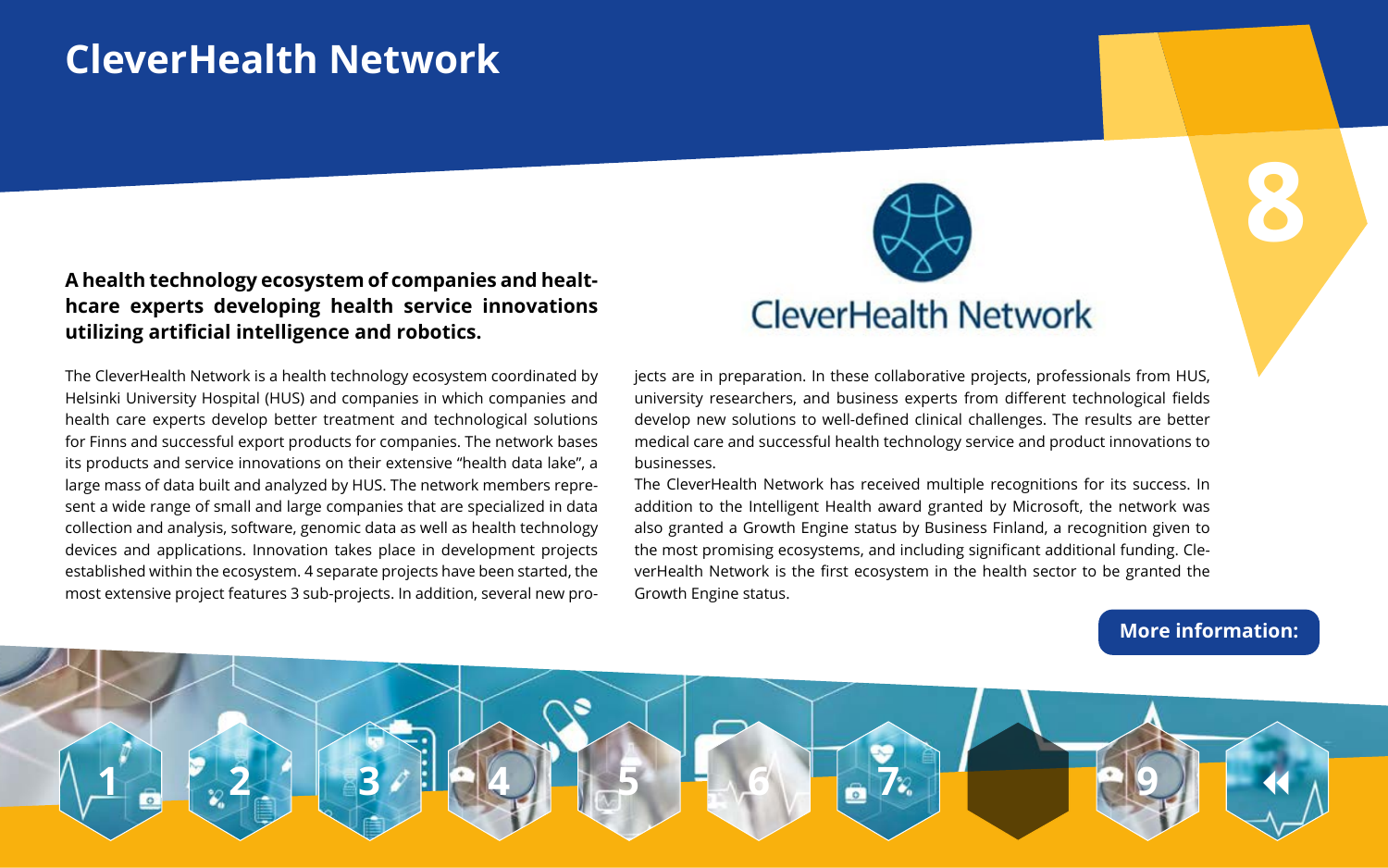# **CleverHealth Network**

**8**

#### **A health technology ecosystem of companies and healthcare experts developing health service innovations utilizing artificial intelligence and robotics.**

jects are in preparation. In these collaborative projects, professionals from HUS, university researchers, and business experts from different technological fields develop new solutions to well-defined clinical challenges. The results are better medical care and successful health technology service and product innovations to businesses.

The CleverHealth Network has received multiple recognitions for its success. In addition to the Intelligent Health award granted by Microsoft, the network was also granted a Growth Engine status by Business Finland, a recognition given to the most promising ecosystems, and including significant additional funding. CleverHealth Network is the first ecosystem in the health sector to be granted the Growth Engine status.

The CleverHealth Network is a health technology ecosystem coordinated by Helsinki University Hospital (HUS) and companies in which companies and health care experts develop better treatment and technological solutions for Finns and successful export products for companies. The network bases its products and service innovations on their extensive "health data lake", a large mass of data built and analyzed by HUS. The network members represent a wide range of small and large companies that are specialized in data collection and analysis, software, genomic data as well as health technology devices and applications. Innovation takes place in development projects established within the ecosystem. 4 separate projects have been started, the most extensive project features 3 sub-projects. In addition, several new pro-